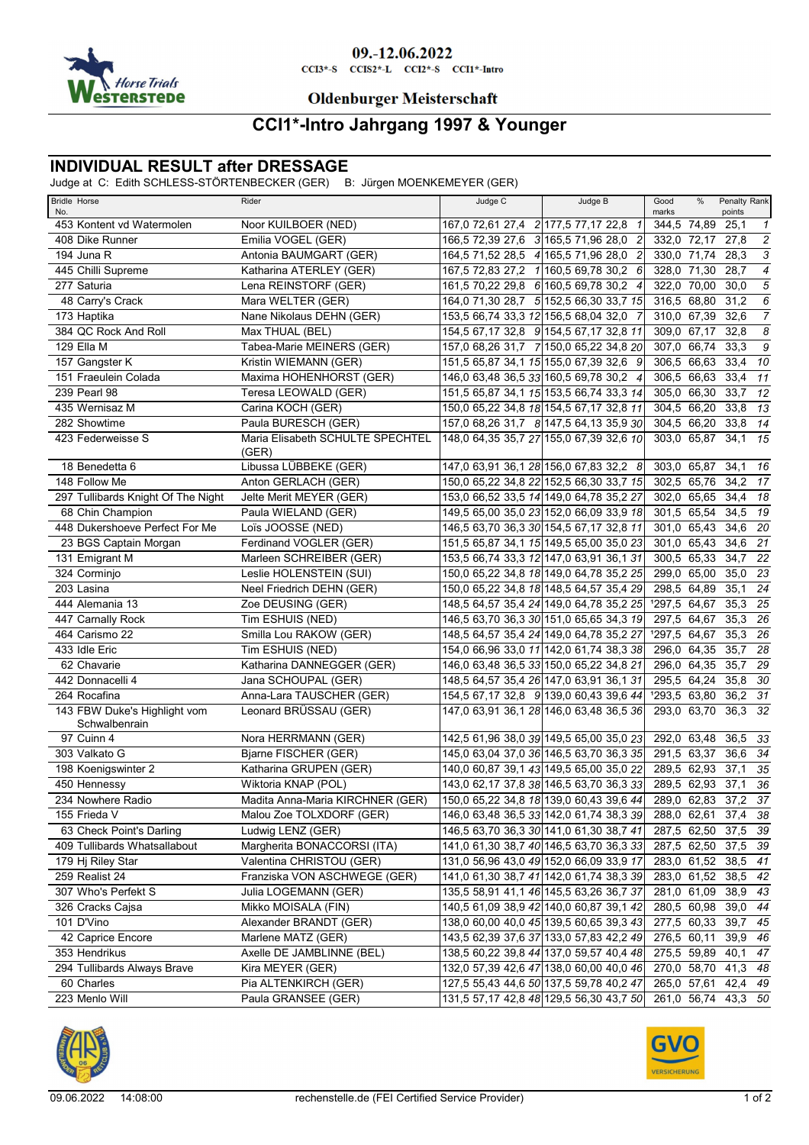

# 09.-12.06.2022

 $CCI3*-S$   $CCI52*-L$   $CCI2*-S$   $CCI1*-Intro$ 

### **Oldenburger Meisterschaft**

## **CCI1\*-Intro Jahrgang 1997 & Younger**

### **INDIVIDUAL RESULT after DRESSAGE**

Judge at C: Edith SCHLESS-STÖRTENBECKER (GER) B: Jürgen MOENKEMEYER (GER)

| <b>Bridle Horse</b><br>No.                    | Rider                                     | Judge C                             | Judge B                                 | Good<br>marks | %                   | Penalty Rank<br>points |                         |
|-----------------------------------------------|-------------------------------------------|-------------------------------------|-----------------------------------------|---------------|---------------------|------------------------|-------------------------|
| 453 Kontent vd Watermolen                     | Noor KUILBOER (NED)                       | 167,0 72,61 27,4 2 177,5 77,17 22,8 | $\mathcal I$                            |               | 344,5 74,89         | 25.1                   | $\mathbf{1}$            |
| 408 Dike Runner                               | Emilia VOGEL (GER)                        |                                     | 166,5 72,39 27,6 3 165,5 71,96 28,0 2   |               | 332,0 72,17         | 27,8                   | $\sqrt{2}$              |
| 194 Juna R                                    | Antonia BAUMGART (GER)                    | 164,5 71,52 28,5 4 165,5 71,96 28,0 | $\overline{2}$                          |               | 330,0 71,74         | 28,3                   | $\overline{\mathbf{3}}$ |
| 445 Chilli Supreme                            | Katharina ATERLEY (GER)                   |                                     | 167,5 72,83 27,2 1 160,5 69,78 30,2 6   |               | 328,0 71,30         | 28,7                   | $\overline{4}$          |
| 277 Saturia                                   | Lena REINSTORF (GER)                      |                                     | 161,5 70,22 29,8 6 160,5 69,78 30,2 4   |               | 322,0 70,00         | 30,0                   | $\overline{5}$          |
| 48 Carry's Crack                              | Mara WELTER (GER)                         |                                     | 164,0 71,30 28,7 5 152,5 66,30 33,7 15  | 316,5 68,80   |                     | 31,2                   | $\overline{6}$          |
| 173 Haptika                                   | Nane Nikolaus DEHN (GER)                  |                                     | 153,5 66,74 33,3 12 156,5 68,04 32,0 7  |               | 310,0 67,39         | 32,6                   | $\overline{7}$          |
| 384 QC Rock And Roll                          | Max THUAL (BEL)                           |                                     | 154,5 67,17 32,8 9 154,5 67,17 32,8 11  |               | 309,0 67,17         | 32,8                   | $\boldsymbol{s}$        |
| 129 Ella M                                    | Tabea-Marie MEINERS (GER)                 |                                     | 157,0 68,26 31,7 7 150,0 65,22 34,8 20  |               | 307,0 66,74         | 33,3                   | $\overline{g}$          |
| 157 Gangster K                                | Kristin WIEMANN (GER)                     |                                     | 151,5 65,87 34,1 15 155,0 67,39 32,6 9  |               | 306,5 66,63         | 33,4                   | 10                      |
| 151 Fraeulein Colada                          | Maxima HOHENHORST (GER)                   |                                     | 146,0 63,48 36,5 33 160,5 69,78 30,2 4  |               | 306,5 66,63         | 33,4                   | $\overline{11}$         |
| 239 Pearl 98                                  | Teresa LEOWALD (GER)                      |                                     | 151,5 65,87 34,1 15 153,5 66,74 33,3 14 |               | 305.0 66.30         | 33,7                   | 12                      |
| 435 Wernisaz M                                | Carina KOCH (GER)                         |                                     | 150,0 65,22 34,8 18 154,5 67,17 32,8 11 |               | 304,5 66,20         | 33,8                   | 13                      |
| 282 Showtime                                  | Paula BURESCH (GER)                       |                                     | 157,0 68,26 31,7 8 147,5 64,13 35,9 30  |               | 304,5 66,20         | 33,8 14                |                         |
| 423 Federweisse S                             | Maria Elisabeth SCHULTE SPECHTEL<br>(GER) |                                     | 148,0 64,35 35,7 27 155,0 67,39 32,6 10 |               | 303,0 65,87         | 34.1                   | 15                      |
| 18 Benedetta 6                                | Libussa LÜBBEKE (GER)                     |                                     | 147,0 63,91 36,1 28 156,0 67,83 32,2 8  |               | 303,0 65,87         | 34,1                   | - 16                    |
| 148 Follow Me                                 | Anton GERLACH (GER)                       |                                     | 150,0 65,22 34,8 22 152,5 66,30 33,7 15 |               | 302,5 65,76         | 34.2 17                |                         |
| 297 Tullibards Knight Of The Night            | Jelte Merit MEYER (GER)                   |                                     | 153,0 66,52 33,5 14 149,0 64,78 35,2 27 |               | 302,0 65,65         | 34,4 18                |                         |
| 68 Chin Champion                              | Paula WIELAND (GER)                       |                                     | 149,5 65,00 35,0 23 152,0 66,09 33,9 18 |               | 301,5 65,54         | 34,5                   | $\overline{19}$         |
| 448 Dukershoeve Perfect For Me                | Loïs JOOSSE (NED)                         |                                     | 146,5 63,70 36,3 30 154,5 67,17 32,8 11 |               | 301,0 65,43         | 34,6                   | 20                      |
| 23 BGS Captain Morgan                         | Ferdinand VOGLER (GER)                    |                                     | 151,5 65,87 34,1 15 149,5 65,00 35,0 23 |               | 301,0 65,43         | 34,6                   | $\overline{21}$         |
| 131 Emigrant M                                | Marleen SCHREIBER (GER)                   |                                     | 153,5 66,74 33,3 12 147,0 63,91 36,1 31 |               | 300,5 65,33         | 34,7                   | 22                      |
| 324 Corminjo                                  | Leslie HOLENSTEIN (SUI)                   |                                     | 150,0 65,22 34,8 18 149,0 64,78 35,2 25 |               | 299,0 65,00         | 35,0                   | $\overline{23}$         |
| 203 Lasina                                    | Neel Friedrich DEHN (GER)                 |                                     | 150,0 65,22 34,8 18 148,5 64,57 35,4 29 |               | 298,5 64,89         | 35.1                   | 24                      |
| 444 Alemania 13                               | Zoe DEUSING (GER)                         |                                     | 148,5 64,57 35,4 24 149,0 64,78 35,2 25 | 1297,5 64,67  |                     | 35,3                   | $\overline{25}$         |
| 447 Carnally Rock                             | Tim ESHUIS (NED)                          |                                     | 146,5 63,70 36,3 30 151,0 65,65 34,3 19 |               | 297,5 64,67         | $35,3$ 26              |                         |
| 464 Carismo 22                                | Smilla Lou RAKOW (GER)                    |                                     | 148,5 64,57 35,4 24 149,0 64,78 35,2 27 | 1297,5 64,67  |                     | 35,3                   | $\overline{26}$         |
| 433 Idle Eric                                 | Tim ESHUIS (NED)                          |                                     | 154,0 66,96 33,0 11 142,0 61,74 38,3 38 |               | 296,0 64,35         | 35,7                   | 28                      |
| 62 Chavarie                                   | Katharina DANNEGGER (GER)                 |                                     | 146,0 63,48 36,5 33 150,0 65,22 34,8 21 |               | 296,0 64,35         | 35,7                   | $\overline{29}$         |
| 442 Donnacelli 4                              | Jana SCHOUPAL (GER)                       |                                     | 148,5 64,57 35,4 26 147,0 63,91 36,1 31 |               | 295,5 64,24         | $35,8$ 30              |                         |
| 264 Rocafina                                  | Anna-Lara TAUSCHER (GER)                  |                                     | 154,5 67,17 32,8 9 139,0 60,43 39,6 44  | 1293,5 63,80  |                     | $36,2$ 31              |                         |
| 143 FBW Duke's Highlight vom<br>Schwalbenrain | Leonard BRÜSSAU (GER)                     |                                     | 147,0 63,91 36,1 28 146,0 63,48 36,5 36 |               | 293,0 63,70         | 36,3 32                |                         |
| 97 Cuinn 4                                    | Nora HERRMANN (GER)                       |                                     | 142,5 61,96 38,0 39 149,5 65,00 35,0 23 |               | 292,0 63,48         | 36,5                   | 33                      |
| 303 Valkato G                                 | Bjarne FISCHER (GER)                      |                                     | 145,0 63,04 37,0 36 146,5 63,70 36,3 35 |               | 291,5 63,37         | 36,6                   | 34                      |
| 198 Koenigswinter 2                           | Katharina GRUPEN (GER)                    |                                     | 140,0 60,87 39,1 43 149,5 65,00 35,0 22 |               | 289,5 62,93         | 37,1                   | $\overline{35}$         |
| 450 Hennessy                                  | Wiktoria KNAP (POL)                       |                                     | 143,0 62,17 37,8 38 146,5 63,70 36,3 33 |               | 289,5 62,93         | 37,1                   | 36                      |
| 234 Nowhere Radio                             | Madita Anna-Maria KIRCHNER (GER)          |                                     | 150,0 65,22 34,8 18 139,0 60,43 39,6 44 |               | 289,0 62,83         | 37.2                   | $\overline{37}$         |
| 155 Frieda V                                  | Malou Zoe TOLXDORF (GER)                  |                                     | 146,0 63,48 36,5 33 142,0 61,74 38,3 39 |               | 288,0 62,61 37,4 38 |                        |                         |
| 63 Check Point's Darling                      | Ludwig LENZ (GER)                         |                                     | 146,5 63,70 36,3 30 141,0 61,30 38,7 41 |               | 287,5 62,50         | 37,5 39                |                         |
| 409 Tullibards Whatsallabout                  | Margherita BONACCORSI (ITA)               |                                     | 141,0 61,30 38,7 40 146,5 63,70 36,3 33 |               | 287,5 62,50         | 37,5 39                |                         |
| 179 Hj Riley Star                             | Valentina CHRISTOU (GER)                  |                                     | 131,0 56,96 43,0 49 152,0 66,09 33,9 17 |               | 283,0 61,52         | 38,5 41                |                         |
| 259 Realist 24                                | Franziska VON ASCHWEGE (GER)              |                                     | 141,0 61,30 38,7 41 142,0 61,74 38,3 39 |               | 283,0 61,52         | 38,5 42                |                         |
| 307 Who's Perfekt S                           | Julia LOGEMANN (GER)                      |                                     | 135,5 58,91 41,1 46 145,5 63,26 36,7 37 |               | 281,0 61,09         | 38,9 43                |                         |
| 326 Cracks Cajsa                              | Mikko MOISALA (FIN)                       |                                     | 140,5 61,09 38,9 42 140,0 60,87 39,1 42 |               | 280,5 60,98         | 39,0 44                |                         |
| 101 D'Vino                                    | Alexander BRANDT (GER)                    |                                     | 138,0 60,00 40,0 45 139,5 60,65 39,3 43 |               | 277,5 60,33         | 39,7 45                |                         |
| 42 Caprice Encore                             | Marlene MATZ (GER)                        |                                     | 143,5 62,39 37,6 37 133,0 57,83 42,2 49 |               | 276,5 60,11         | 39,9                   | 46                      |
| 353 Hendrikus                                 | Axelle DE JAMBLINNE (BEL)                 |                                     | 138,5 60,22 39,8 44 137,0 59,57 40,4 48 |               | 275,5 59,89         | 40,1                   | 47                      |
| 294 Tullibards Always Brave                   | Kira MEYER (GER)                          |                                     | 132,0 57,39 42,6 47 138,0 60,00 40,0 46 |               | 270,0 58,70         | 41,3 48                |                         |
| 60 Charles                                    | Pia ALTENKIRCH (GER)                      |                                     | 127,5 55,43 44,6 50 137,5 59,78 40,2 47 |               | 265,0 57,61         | 42,4 49                |                         |
| 223 Menlo Will                                | Paula GRANSEE (GER)                       |                                     | 131,5 57,17 42,8 48 129,5 56,30 43,7 50 |               | 261,0 56,74 43,3 50 |                        |                         |